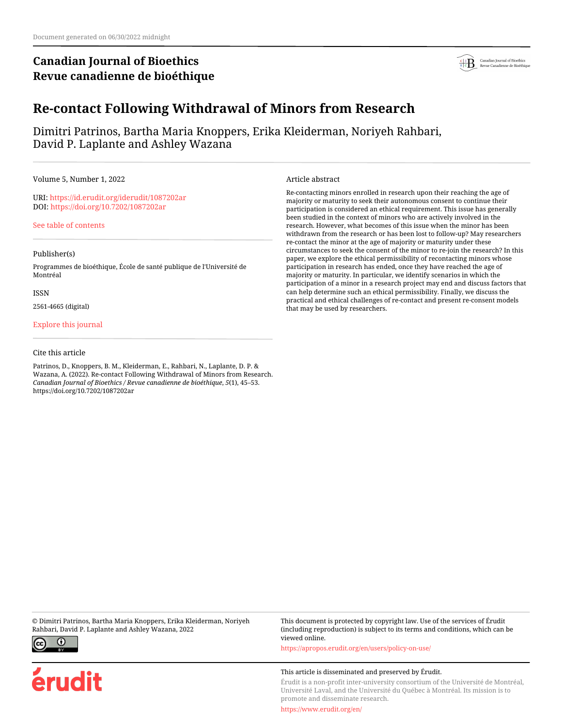# **Canadian Journal of Bioethics Revue canadienne de bioéthique**



# **Re-contact Following Withdrawal of Minors from Research**

Dimitri Patrinos, Bartha Maria Knoppers, Erika Kleiderman, Noriyeh Rahbari, David P. Laplante and Ashley Wazana

Volume 5, Number 1, 2022

URI:<https://id.erudit.org/iderudit/1087202ar> DOI:<https://doi.org/10.7202/1087202ar>

[See table of contents](https://www.erudit.org/en/journals/bioethics/2022-v5-n1-bioethics06848/)

### Publisher(s)

Programmes de bioéthique, École de santé publique de l'Université de Montréal

#### ISSN

2561-4665 (digital)

### [Explore this journal](https://www.erudit.org/en/journals/bioethics/)

#### Cite this article

Patrinos, D., Knoppers, B. M., Kleiderman, E., Rahbari, N., Laplante, D. P. & Wazana, A. (2022). Re-contact Following Withdrawal of Minors from Research. *Canadian Journal of Bioethics / Revue canadienne de bioéthique*, *5*(1), 45–53. https://doi.org/10.7202/1087202ar

#### Article abstract

Re-contacting minors enrolled in research upon their reaching the age of majority or maturity to seek their autonomous consent to continue their participation is considered an ethical requirement. This issue has generally been studied in the context of minors who are actively involved in the research. However, what becomes of this issue when the minor has been withdrawn from the research or has been lost to follow-up? May researchers re-contact the minor at the age of majority or maturity under these circumstances to seek the consent of the minor to re-join the research? In this paper, we explore the ethical permissibility of recontacting minors whose participation in research has ended, once they have reached the age of majority or maturity. In particular, we identify scenarios in which the participation of a minor in a research project may end and discuss factors that can help determine such an ethical permissibility. Finally, we discuss the practical and ethical challenges of re-contact and present re-consent models that may be used by researchers.

© Dimitri Patrinos, Bartha Maria Knoppers, Erika Kleiderman, Noriyeh Rahbari, David P. Laplante and Ashley Wazana, 2022



erudit

This document is protected by copyright law. Use of the services of Érudit (including reproduction) is subject to its terms and conditions, which can be viewed online.

<https://apropos.erudit.org/en/users/policy-on-use/>

#### This article is disseminated and preserved by Érudit.

Érudit is a non-profit inter-university consortium of the Université de Montréal, Université Laval, and the Université du Québec à Montréal. Its mission is to promote and disseminate research.

<https://www.erudit.org/en/>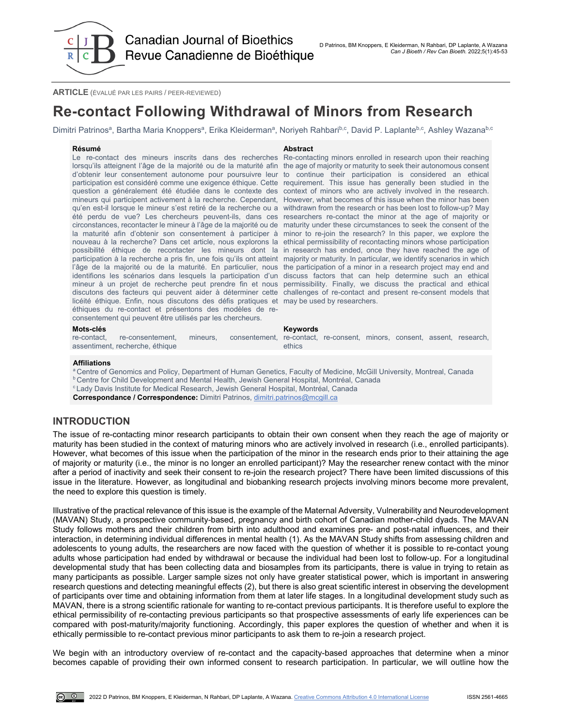**Canadian Journal of Bioethics** Revue Canadienne de Bioéthique

**ARTICLE** (ÉVALUÉ PAR LES PAIRS / PEER-REVIEWED)

# **Re-contact Following Withdrawal of Minors from Research**

Dimitri Patrinos<sup>a</sup>, Bartha Maria Knoppers<sup>a</sup>, Erika Kleiderman<sup>a</sup>, Noriyeh Rahbari<sup>b,c</sup>, David P. Laplante<sup>b,c</sup>, Ashley Wazana<sup>b,c</sup>

#### **Résumé Abstract**

Le re-contact des mineurs inscrits dans des recherches Re-contacting minors enrolled in research upon their reaching lorsqu'ils atteignent l'âge de la majorité ou de la maturité afin the age of majority or maturity to seek their autonomous consent d'obtenir leur consentement autonome pour poursuivre leur to continue their participation is considered an ethical participation est considéré comme une exigence éthique. Cette requirement. This issue has generally been studied in the question a généralement été étudiée dans le contexte des context of minors who are actively involved in the research. mineurs qui participent activement à la recherche. Cependant, However, what becomes of this issue when the minor has been qu'en est-il lorsque le mineur s'est retiré de la recherche ou a withdrawn from the research or has been lost to follow-up? May été perdu de vue? Les chercheurs peuvent-ils, dans ces researchers re-contact the minor at the age of majority or circonstances, recontacter le mineur à l'âge de la majorité ou de maturity under these circumstances to seek the consent of the la maturité afin d'obtenir son consentement à participer à minor to re-join the research? In this paper, we explore the nouveau à la recherche? Dans cet article, nous explorons la ethical permissibility of recontacting minors whose participation possibilité éthique de recontacter les mineurs dont la in research has ended, once they have reached the age of participation à la recherche a pris fin, une fois qu'ils ont atteint majority or maturity. In particular, we identify scenarios in which l'âge de la majorité ou de la maturité. En particulier, nous the participation of a minor in a research project may end and identifions les scénarios dans lesquels la participation d'un discuss factors that can help determine such an ethical mineur à un projet de recherche peut prendre fin et nous permissibility. Finally, we discuss the practical and ethical discutons des facteurs qui peuvent aider à déterminer cette challenges of re-contact and present re-consent models that licéité éthique. Enfin, nous discutons des défis pratiques et may be used by researchers. éthiques du re-contact et présentons des modèles de reconsentement qui peuvent être utilisés par les chercheurs.

**Mots-clés Keywords** re-contact, re-consentement, mineurs, consentement, re-contact, re-consent, minors, consent, assent, research, assentiment, recherche, éthique

ethics

#### **Affiliations**

<sup>a</sup> Centre of Genomics and Policy, Department of Human Genetics, Faculty of Medicine, McGill University, Montreal, Canada

**b Centre for Child Development and Mental Health, Jewish General Hospital, Montréal, Canada** 

<sup>c</sup> Lady Davis Institute for Medical Research, Jewish General Hospital, Montréal, Canada

**Correspondance / Correspondence:** Dimitri Patrinos, [dimitri.patrinos@mcgill.ca](mailto:dimitri.patrinos@mcgill.ca)

## **INTRODUCTION**

The issue of re-contacting minor research participants to obtain their own consent when they reach the age of majority or maturity has been studied in the context of maturing minors who are actively involved in research (i.e., enrolled participants). However, what becomes of this issue when the participation of the minor in the research ends prior to their attaining the age of majority or maturity (i.e., the minor is no longer an enrolled participant)? May the researcher renew contact with the minor after a period of inactivity and seek their consent to re-join the research project? There have been limited discussions of this issue in the literature. However, as longitudinal and biobanking research projects involving minors become more prevalent, the need to explore this question is timely.

Illustrative of the practical relevance of this issue is the example of the Maternal Adversity, Vulnerability and Neurodevelopment (MAVAN) Study, a prospective community-based, pregnancy and birth cohort of Canadian mother-child dyads. The MAVAN Study follows mothers and their children from birth into adulthood and examines pre- and post-natal influences, and their interaction, in determining individual differences in mental health (1). As the MAVAN Study shifts from assessing children and adolescents to young adults, the researchers are now faced with the question of whether it is possible to re-contact young adults whose participation had ended by withdrawal or because the individual had been lost to follow-up. For a longitudinal developmental study that has been collecting data and biosamples from its participants, there is value in trying to retain as many participants as possible. Larger sample sizes not only have greater statistical power, which is important in answering research questions and detecting meaningful effects (2), but there is also great scientific interest in observing the development of participants over time and obtaining information from them at later life stages. In a longitudinal development study such as MAVAN, there is a strong scientific rationale for wanting to re-contact previous participants. It is therefore useful to explore the ethical permissibility of re-contacting previous participants so that prospective assessments of early life experiences can be compared with post-maturity/majority functioning. Accordingly, this paper explores the question of whether and when it is ethically permissible to re-contact previous minor participants to ask them to re-join a research project.

We begin with an introductory overview of re-contact and the capacity-based approaches that determine when a minor becomes capable of providing their own informed consent to research participation. In particular, we will outline how the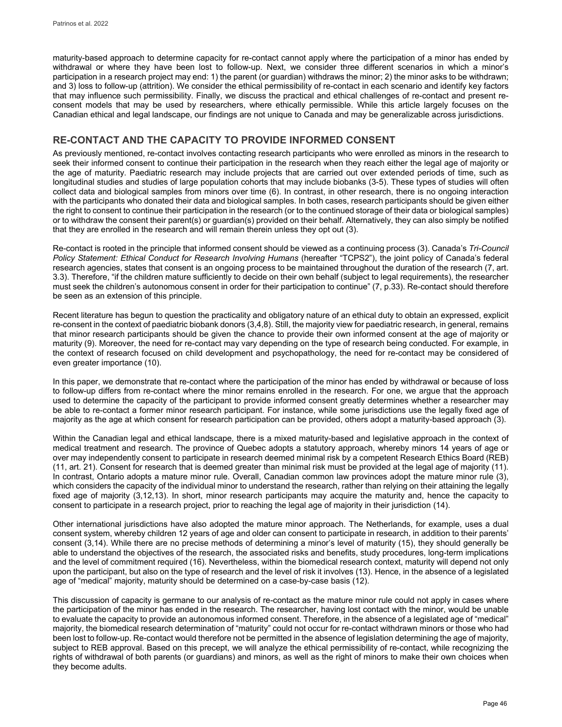maturity-based approach to determine capacity for re-contact cannot apply where the participation of a minor has ended by withdrawal or where they have been lost to follow-up. Next, we consider three different scenarios in which a minor's participation in a research project may end: 1) the parent (or guardian) withdraws the minor; 2) the minor asks to be withdrawn; and 3) loss to follow-up (attrition). We consider the ethical permissibility of re-contact in each scenario and identify key factors that may influence such permissibility. Finally, we discuss the practical and ethical challenges of re-contact and present reconsent models that may be used by researchers, where ethically permissible. While this article largely focuses on the Canadian ethical and legal landscape, our findings are not unique to Canada and may be generalizable across jurisdictions.

# **RE-CONTACT AND THE CAPACITY TO PROVIDE INFORMED CONSENT**

As previously mentioned, re-contact involves contacting research participants who were enrolled as minors in the research to seek their informed consent to continue their participation in the research when they reach either the legal age of majority or the age of maturity. Paediatric research may include projects that are carried out over extended periods of time, such as longitudinal studies and studies of large population cohorts that may include biobanks (3-5). These types of studies will often collect data and biological samples from minors over time (6). In contrast, in other research, there is no ongoing interaction with the participants who donated their data and biological samples. In both cases, research participants should be given either the right to consent to continue their participation in the research (or to the continued storage of their data or biological samples) or to withdraw the consent their parent(s) or guardian(s) provided on their behalf. Alternatively, they can also simply be notified that they are enrolled in the research and will remain therein unless they opt out (3).

Re-contact is rooted in the principle that informed consent should be viewed as a continuing process (3). Canada's *Tri-Council Policy Statement: Ethical Conduct for Research Involving Humans* (hereafter "TCPS2"), the joint policy of Canada's federal research agencies, states that consent is an ongoing process to be maintained throughout the duration of the research (7, art. 3.3). Therefore, "if the children mature sufficiently to decide on their own behalf (subject to legal requirements), the researcher must seek the children's autonomous consent in order for their participation to continue" (7, p.33). Re-contact should therefore be seen as an extension of this principle.

Recent literature has begun to question the practicality and obligatory nature of an ethical duty to obtain an expressed, explicit re-consent in the context of paediatric biobank donors (3,4,8). Still, the majority view for paediatric research, in general, remains that minor research participants should be given the chance to provide their own informed consent at the age of majority or maturity (9). Moreover, the need for re-contact may vary depending on the type of research being conducted. For example, in the context of research focused on child development and psychopathology, the need for re-contact may be considered of even greater importance (10).

In this paper, we demonstrate that re-contact where the participation of the minor has ended by withdrawal or because of loss to follow-up differs from re-contact where the minor remains enrolled in the research. For one, we argue that the approach used to determine the capacity of the participant to provide informed consent greatly determines whether a researcher may be able to re-contact a former minor research participant. For instance, while some jurisdictions use the legally fixed age of majority as the age at which consent for research participation can be provided, others adopt a maturity-based approach (3).

Within the Canadian legal and ethical landscape, there is a mixed maturity-based and legislative approach in the context of medical treatment and research. The province of Quebec adopts a statutory approach, whereby minors 14 years of age or over may independently consent to participate in research deemed minimal risk by a competent Research Ethics Board (REB) (11, art. 21). Consent for research that is deemed greater than minimal risk must be provided at the legal age of majority (11). In contrast, Ontario adopts a mature minor rule. Overall, Canadian common law provinces adopt the mature minor rule (3), which considers the capacity of the individual minor to understand the research, rather than relying on their attaining the legally fixed age of majority (3,12,13). In short, minor research participants may acquire the maturity and, hence the capacity to consent to participate in a research project, prior to reaching the legal age of majority in their jurisdiction (14).

Other international jurisdictions have also adopted the mature minor approach. The Netherlands, for example, uses a dual consent system, whereby children 12 years of age and older can consent to participate in research, in addition to their parents' consent (3,14). While there are no precise methods of determining a minor's level of maturity (15), they should generally be able to understand the objectives of the research, the associated risks and benefits, study procedures, long-term implications and the level of commitment required (16). Nevertheless, within the biomedical research context, maturity will depend not only upon the participant, but also on the type of research and the level of risk it involves (13). Hence, in the absence of a legislated age of "medical" majority, maturity should be determined on a case-by-case basis (12).

This discussion of capacity is germane to our analysis of re-contact as the mature minor rule could not apply in cases where the participation of the minor has ended in the research. The researcher, having lost contact with the minor, would be unable to evaluate the capacity to provide an autonomous informed consent. Therefore, in the absence of a legislated age of "medical" majority, the biomedical research determination of "maturity" could not occur for re-contact withdrawn minors or those who had been lost to follow-up. Re-contact would therefore not be permitted in the absence of legislation determining the age of majority, subject to REB approval. Based on this precept, we will analyze the ethical permissibility of re-contact, while recognizing the rights of withdrawal of both parents (or guardians) and minors, as well as the right of minors to make their own choices when they become adults.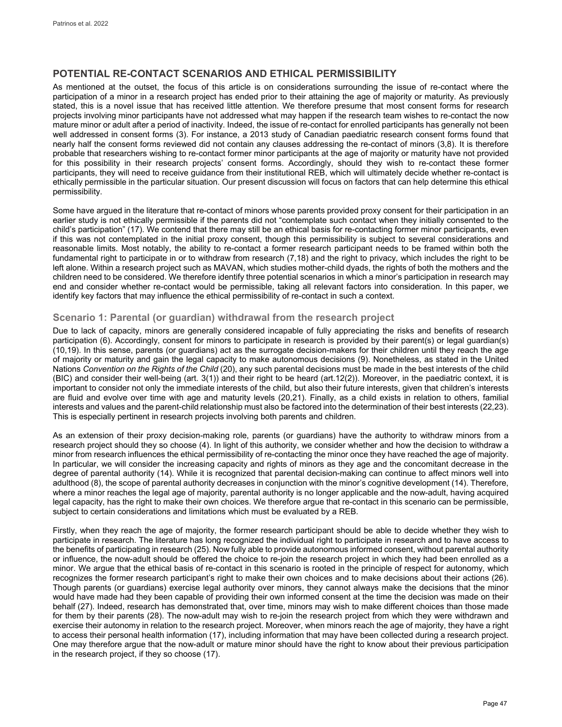# **POTENTIAL RE-CONTACT SCENARIOS AND ETHICAL PERMISSIBILITY**

As mentioned at the outset, the focus of this article is on considerations surrounding the issue of re-contact where the participation of a minor in a research project has ended prior to their attaining the age of majority or maturity. As previously stated, this is a novel issue that has received little attention. We therefore presume that most consent forms for research projects involving minor participants have not addressed what may happen if the research team wishes to re-contact the now mature minor or adult after a period of inactivity. Indeed, the issue of re-contact for enrolled participants has generally not been well addressed in consent forms (3). For instance, a 2013 study of Canadian paediatric research consent forms found that nearly half the consent forms reviewed did not contain any clauses addressing the re-contact of minors (3,8). It is therefore probable that researchers wishing to re-contact former minor participants at the age of majority or maturity have not provided for this possibility in their research projects' consent forms. Accordingly, should they wish to re-contact these former participants, they will need to receive guidance from their institutional REB, which will ultimately decide whether re-contact is ethically permissible in the particular situation. Our present discussion will focus on factors that can help determine this ethical permissibility.

Some have argued in the literature that re-contact of minors whose parents provided proxy consent for their participation in an earlier study is not ethically permissible if the parents did not "contemplate such contact when they initially consented to the child's participation" (17). We contend that there may still be an ethical basis for re-contacting former minor participants, even if this was not contemplated in the initial proxy consent, though this permissibility is subject to several considerations and reasonable limits. Most notably, the ability to re-contact a former research participant needs to be framed within both the fundamental right to participate in or to withdraw from research (7,18) and the right to privacy, which includes the right to be left alone. Within a research project such as MAVAN, which studies mother-child dyads, the rights of both the mothers and the children need to be considered. We therefore identify three potential scenarios in which a minor's participation in research may end and consider whether re-contact would be permissible, taking all relevant factors into consideration. In this paper, we identify key factors that may influence the ethical permissibility of re-contact in such a context.

# **Scenario 1: Parental (or guardian) withdrawal from the research project**

Due to lack of capacity, minors are generally considered incapable of fully appreciating the risks and benefits of research participation (6). Accordingly, consent for minors to participate in research is provided by their parent(s) or legal guardian(s) (10,19). In this sense, parents (or guardians) act as the surrogate decision-makers for their children until they reach the age of majority or maturity and gain the legal capacity to make autonomous decisions (9). Nonetheless, as stated in the United Nations *Convention on the Rights of the Child* (20), any such parental decisions must be made in the best interests of the child (BIC) and consider their well-being (art. 3(1)) and their right to be heard (art.12(2)). Moreover, in the paediatric context, it is important to consider not only the immediate interests of the child, but also their future interests, given that children's interests are fluid and evolve over time with age and maturity levels (20,21). Finally, as a child exists in relation to others, familial interests and values and the parent-child relationship must also be factored into the determination of their best interests (22,23). This is especially pertinent in research projects involving both parents and children.

As an extension of their proxy decision-making role, parents (or guardians) have the authority to withdraw minors from a research project should they so choose (4). In light of this authority, we consider whether and how the decision to withdraw a minor from research influences the ethical permissibility of re-contacting the minor once they have reached the age of majority. In particular, we will consider the increasing capacity and rights of minors as they age and the concomitant decrease in the degree of parental authority (14). While it is recognized that parental decision-making can continue to affect minors well into adulthood (8), the scope of parental authority decreases in conjunction with the minor's cognitive development (14). Therefore, where a minor reaches the legal age of majority, parental authority is no longer applicable and the now-adult, having acquired legal capacity, has the right to make their own choices. We therefore argue that re-contact in this scenario can be permissible, subject to certain considerations and limitations which must be evaluated by a REB.

Firstly, when they reach the age of majority, the former research participant should be able to decide whether they wish to participate in research. The literature has long recognized the individual right to participate in research and to have access to the benefits of participating in research (25). Now fully able to provide autonomous informed consent, without parental authority or influence, the now-adult should be offered the choice to re-join the research project in which they had been enrolled as a minor. We argue that the ethical basis of re-contact in this scenario is rooted in the principle of respect for autonomy, which recognizes the former research participant's right to make their own choices and to make decisions about their actions (26). Though parents (or guardians) exercise legal authority over minors, they cannot always make the decisions that the minor would have made had they been capable of providing their own informed consent at the time the decision was made on their behalf (27). Indeed, research has demonstrated that, over time, minors may wish to make different choices than those made for them by their parents (28). The now-adult may wish to re-join the research project from which they were withdrawn and exercise their autonomy in relation to the research project. Moreover, when minors reach the age of majority, they have a right to access their personal health information (17), including information that may have been collected during a research project. One may therefore argue that the now-adult or mature minor should have the right to know about their previous participation in the research project, if they so choose (17).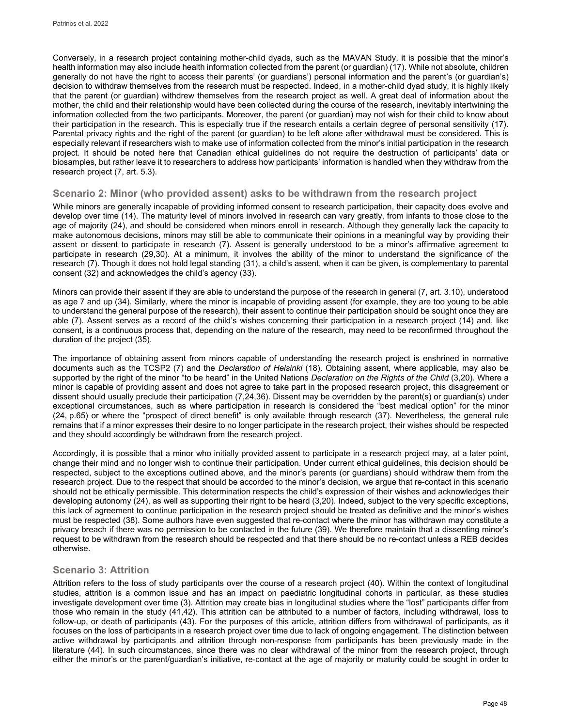Conversely, in a research project containing mother-child dyads, such as the MAVAN Study, it is possible that the minor's health information may also include health information collected from the parent (or guardian) (17). While not absolute, children generally do not have the right to access their parents' (or guardians') personal information and the parent's (or guardian's) decision to withdraw themselves from the research must be respected. Indeed, in a mother-child dyad study, it is highly likely that the parent (or guardian) withdrew themselves from the research project as well. A great deal of information about the mother, the child and their relationship would have been collected during the course of the research, inevitably intertwining the information collected from the two participants. Moreover, the parent (or guardian) may not wish for their child to know about their participation in the research. This is especially true if the research entails a certain degree of personal sensitivity (17). Parental privacy rights and the right of the parent (or guardian) to be left alone after withdrawal must be considered. This is especially relevant if researchers wish to make use of information collected from the minor's initial participation in the research project. It should be noted here that Canadian ethical guidelines do not require the destruction of participants' data or biosamples, but rather leave it to researchers to address how participants' information is handled when they withdraw from the research project (7, art. 5.3).

## **Scenario 2: Minor (who provided assent) asks to be withdrawn from the research project**

While minors are generally incapable of providing informed consent to research participation, their capacity does evolve and develop over time (14). The maturity level of minors involved in research can vary greatly, from infants to those close to the age of majority (24), and should be considered when minors enroll in research. Although they generally lack the capacity to make autonomous decisions, minors may still be able to communicate their opinions in a meaningful way by providing their assent or dissent to participate in research (7). Assent is generally understood to be a minor's affirmative agreement to participate in research (29,30). At a minimum, it involves the ability of the minor to understand the significance of the research (7). Though it does not hold legal standing (31), a child's assent, when it can be given, is complementary to parental consent (32) and acknowledges the child's agency (33).

Minors can provide their assent if they are able to understand the purpose of the research in general (7, art. 3.10), understood as age 7 and up (34). Similarly, where the minor is incapable of providing assent (for example, they are too young to be able to understand the general purpose of the research), their assent to continue their participation should be sought once they are able (7). Assent serves as a record of the child's wishes concerning their participation in a research project (14) and, like consent, is a continuous process that, depending on the nature of the research, may need to be reconfirmed throughout the duration of the project (35).

The importance of obtaining assent from minors capable of understanding the research project is enshrined in normative documents such as the TCSP2 (7) and the *Declaration of Helsinki* (18). Obtaining assent, where applicable, may also be supported by the right of the minor "to be heard" in the United Nations *Declaration on the Rights of the Child* (3,20). Where a minor is capable of providing assent and does not agree to take part in the proposed research project, this disagreement or dissent should usually preclude their participation (7,24,36). Dissent may be overridden by the parent(s) or guardian(s) under exceptional circumstances, such as where participation in research is considered the "best medical option" for the minor (24, p.65) or where the "prospect of direct benefit" is only available through research (37). Nevertheless, the general rule remains that if a minor expresses their desire to no longer participate in the research project, their wishes should be respected and they should accordingly be withdrawn from the research project.

Accordingly, it is possible that a minor who initially provided assent to participate in a research project may, at a later point, change their mind and no longer wish to continue their participation. Under current ethical guidelines, this decision should be respected, subject to the exceptions outlined above, and the minor's parents (or guardians) should withdraw them from the research project. Due to the respect that should be accorded to the minor's decision, we argue that re-contact in this scenario should not be ethically permissible. This determination respects the child's expression of their wishes and acknowledges their developing autonomy (24), as well as supporting their right to be heard (3,20). Indeed, subject to the very specific exceptions, this lack of agreement to continue participation in the research project should be treated as definitive and the minor's wishes must be respected (38). Some authors have even suggested that re-contact where the minor has withdrawn may constitute a privacy breach if there was no permission to be contacted in the future (39). We therefore maintain that a dissenting minor's request to be withdrawn from the research should be respected and that there should be no re-contact unless a REB decides otherwise.

# **Scenario 3: Attrition**

Attrition refers to the loss of study participants over the course of a research project (40). Within the context of longitudinal studies, attrition is a common issue and has an impact on paediatric longitudinal cohorts in particular, as these studies investigate development over time (3). Attrition may create bias in longitudinal studies where the "lost" participants differ from those who remain in the study (41,42). This attrition can be attributed to a number of factors, including withdrawal, loss to follow-up, or death of participants (43). For the purposes of this article, attrition differs from withdrawal of participants, as it focuses on the loss of participants in a research project over time due to lack of ongoing engagement. The distinction between active withdrawal by participants and attrition through non-response from participants has been previously made in the literature (44). In such circumstances, since there was no clear withdrawal of the minor from the research project, through either the minor's or the parent/guardian's initiative, re-contact at the age of majority or maturity could be sought in order to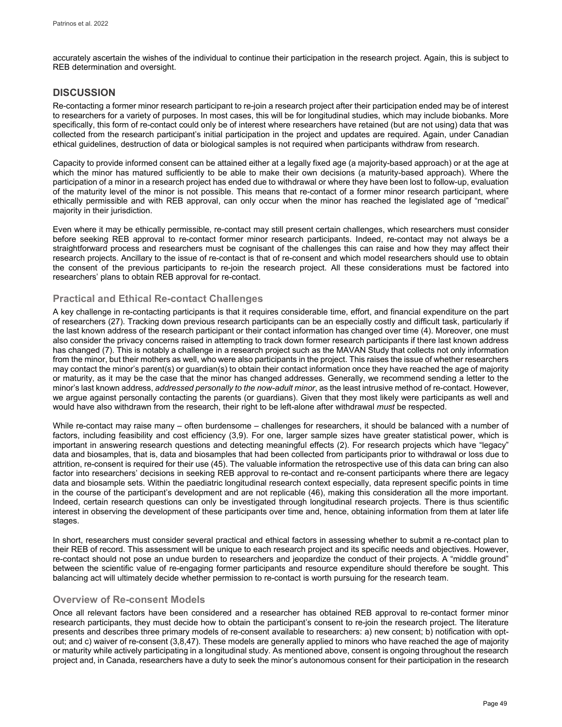accurately ascertain the wishes of the individual to continue their participation in the research project. Again, this is subject to REB determination and oversight.

# **DISCUSSION**

Re-contacting a former minor research participant to re-join a research project after their participation ended may be of interest to researchers for a variety of purposes. In most cases, this will be for longitudinal studies, which may include biobanks. More specifically, this form of re-contact could only be of interest where researchers have retained (but are not using) data that was collected from the research participant's initial participation in the project and updates are required. Again, under Canadian ethical guidelines, destruction of data or biological samples is not required when participants withdraw from research.

Capacity to provide informed consent can be attained either at a legally fixed age (a majority-based approach) or at the age at which the minor has matured sufficiently to be able to make their own decisions (a maturity-based approach). Where the participation of a minor in a research project has ended due to withdrawal or where they have been lost to follow-up, evaluation of the maturity level of the minor is not possible. This means that re-contact of a former minor research participant, where ethically permissible and with REB approval, can only occur when the minor has reached the legislated age of "medical" majority in their jurisdiction.

Even where it may be ethically permissible, re-contact may still present certain challenges, which researchers must consider before seeking REB approval to re-contact former minor research participants. Indeed, re-contact may not always be a straightforward process and researchers must be cognisant of the challenges this can raise and how they may affect their research projects. Ancillary to the issue of re-contact is that of re-consent and which model researchers should use to obtain the consent of the previous participants to re-join the research project. All these considerations must be factored into researchers' plans to obtain REB approval for re-contact.

# **Practical and Ethical Re-contact Challenges**

A key challenge in re-contacting participants is that it requires considerable time, effort, and financial expenditure on the part of researchers (27). Tracking down previous research participants can be an especially costly and difficult task, particularly if the last known address of the research participant or their contact information has changed over time (4). Moreover, one must also consider the privacy concerns raised in attempting to track down former research participants if there last known address has changed (7). This is notably a challenge in a research project such as the MAVAN Study that collects not only information from the minor, but their mothers as well, who were also participants in the project. This raises the issue of whether researchers may contact the minor's parent(s) or guardian(s) to obtain their contact information once they have reached the age of majority or maturity, as it may be the case that the minor has changed addresses. Generally, we recommend sending a letter to the minor's last known address, *addressed personally to the now-adult minor*, as the least intrusive method of re-contact. However, we argue against personally contacting the parents (or guardians). Given that they most likely were participants as well and would have also withdrawn from the research, their right to be left-alone after withdrawal *must* be respected.

While re-contact may raise many – often burdensome – challenges for researchers, it should be balanced with a number of factors, including feasibility and cost efficiency (3,9). For one, larger sample sizes have greater statistical power, which is important in answering research questions and detecting meaningful effects (2). For research projects which have "legacy" data and biosamples, that is, data and biosamples that had been collected from participants prior to withdrawal or loss due to attrition, re-consent is required for their use (45). The valuable information the retrospective use of this data can bring can also factor into researchers' decisions in seeking REB approval to re-contact and re-consent participants where there are legacy data and biosample sets. Within the paediatric longitudinal research context especially, data represent specific points in time in the course of the participant's development and are not replicable (46), making this consideration all the more important. Indeed, certain research questions can only be investigated through longitudinal research projects. There is thus scientific interest in observing the development of these participants over time and, hence, obtaining information from them at later life stages.

In short, researchers must consider several practical and ethical factors in assessing whether to submit a re-contact plan to their REB of record. This assessment will be unique to each research project and its specific needs and objectives. However, re-contact should not pose an undue burden to researchers and jeopardize the conduct of their projects. A "middle ground" between the scientific value of re-engaging former participants and resource expenditure should therefore be sought. This balancing act will ultimately decide whether permission to re-contact is worth pursuing for the research team.

# **Overview of Re-consent Models**

Once all relevant factors have been considered and a researcher has obtained REB approval to re-contact former minor research participants, they must decide how to obtain the participant's consent to re-join the research project. The literature presents and describes three primary models of re-consent available to researchers: a) new consent; b) notification with optout; and c) waiver of re-consent (3,8,47). These models are generally applied to minors who have reached the age of majority or maturity while actively participating in a longitudinal study. As mentioned above, consent is ongoing throughout the research project and, in Canada, researchers have a duty to seek the minor's autonomous consent for their participation in the research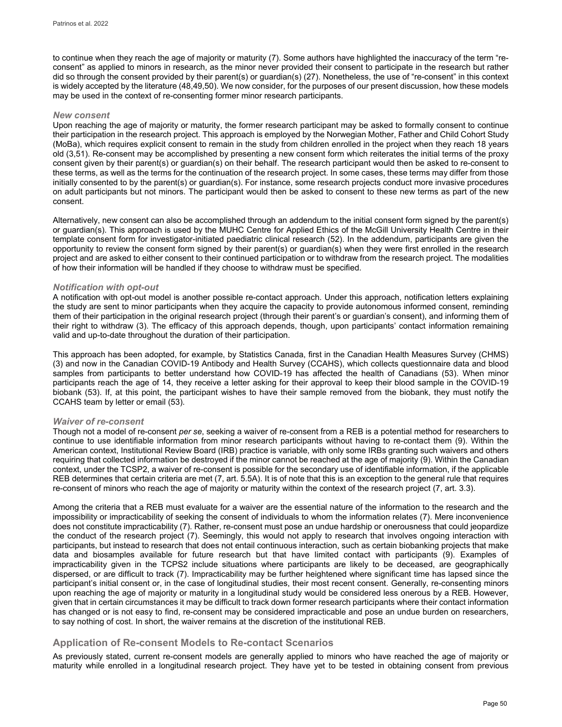to continue when they reach the age of majority or maturity (7). Some authors have highlighted the inaccuracy of the term "reconsent" as applied to minors in research, as the minor never provided their consent to participate in the research but rather did so through the consent provided by their parent(s) or guardian(s) (27). Nonetheless, the use of "re-consent" in this context is widely accepted by the literature (48,49,50). We now consider, for the purposes of our present discussion, how these models may be used in the context of re-consenting former minor research participants.

## *New consent*

Upon reaching the age of majority or maturity, the former research participant may be asked to formally consent to continue their participation in the research project. This approach is employed by the Norwegian Mother, Father and Child Cohort Study (MoBa), which requires explicit consent to remain in the study from children enrolled in the project when they reach 18 years old (3,51). Re-consent may be accomplished by presenting a new consent form which reiterates the initial terms of the proxy consent given by their parent(s) or guardian(s) on their behalf. The research participant would then be asked to re-consent to these terms, as well as the terms for the continuation of the research project. In some cases, these terms may differ from those initially consented to by the parent(s) or guardian(s). For instance, some research projects conduct more invasive procedures on adult participants but not minors. The participant would then be asked to consent to these new terms as part of the new consent.

Alternatively, new consent can also be accomplished through an addendum to the initial consent form signed by the parent(s) or guardian(s). This approach is used by the MUHC Centre for Applied Ethics of the McGill University Health Centre in their template consent form for investigator-initiated paediatric clinical research (52). In the addendum, participants are given the opportunity to review the consent form signed by their parent(s) or guardian(s) when they were first enrolled in the research project and are asked to either consent to their continued participation or to withdraw from the research project. The modalities of how their information will be handled if they choose to withdraw must be specified.

### *Notification with opt-out*

A notification with opt-out model is another possible re-contact approach. Under this approach, notification letters explaining the study are sent to minor participants when they acquire the capacity to provide autonomous informed consent, reminding them of their participation in the original research project (through their parent's or guardian's consent), and informing them of their right to withdraw (3). The efficacy of this approach depends, though, upon participants' contact information remaining valid and up-to-date throughout the duration of their participation.

This approach has been adopted, for example, by Statistics Canada, first in the Canadian Health Measures Survey (CHMS) (3) and now in the Canadian COVID-19 Antibody and Health Survey (CCAHS), which collects questionnaire data and blood samples from participants to better understand how COVID-19 has affected the health of Canadians (53). When minor participants reach the age of 14, they receive a letter asking for their approval to keep their blood sample in the COVID-19 biobank (53). If, at this point, the participant wishes to have their sample removed from the biobank, they must notify the CCAHS team by letter or email (53).

### *Waiver of re-consent*

Though not a model of re-consent *per se*, seeking a waiver of re-consent from a REB is a potential method for researchers to continue to use identifiable information from minor research participants without having to re-contact them (9). Within the American context, Institutional Review Board (IRB) practice is variable, with only some IRBs granting such waivers and others requiring that collected information be destroyed if the minor cannot be reached at the age of majority (9). Within the Canadian context, under the TCSP2, a waiver of re-consent is possible for the secondary use of identifiable information, if the applicable REB determines that certain criteria are met (7, art. 5.5A). It is of note that this is an exception to the general rule that requires re-consent of minors who reach the age of majority or maturity within the context of the research project (7, art. 3.3).

Among the criteria that a REB must evaluate for a waiver are the essential nature of the information to the research and the impossibility or impracticability of seeking the consent of individuals to whom the information relates (7). Mere inconvenience does not constitute impracticability (7). Rather, re-consent must pose an undue hardship or onerousness that could jeopardize the conduct of the research project (7). Seemingly, this would not apply to research that involves ongoing interaction with participants, but instead to research that does not entail continuous interaction, such as certain biobanking projects that make data and biosamples available for future research but that have limited contact with participants (9). Examples of impracticability given in the TCPS2 include situations where participants are likely to be deceased, are geographically dispersed, or are difficult to track (7). Impracticability may be further heightened where significant time has lapsed since the participant's initial consent or, in the case of longitudinal studies, their most recent consent. Generally, re-consenting minors upon reaching the age of majority or maturity in a longitudinal study would be considered less onerous by a REB. However, given that in certain circumstances it may be difficult to track down former research participants where their contact information has changed or is not easy to find, re-consent may be considered impracticable and pose an undue burden on researchers, to say nothing of cost. In short, the waiver remains at the discretion of the institutional REB.

# **Application of Re-consent Models to Re-contact Scenarios**

As previously stated, current re-consent models are generally applied to minors who have reached the age of majority or maturity while enrolled in a longitudinal research project. They have yet to be tested in obtaining consent from previous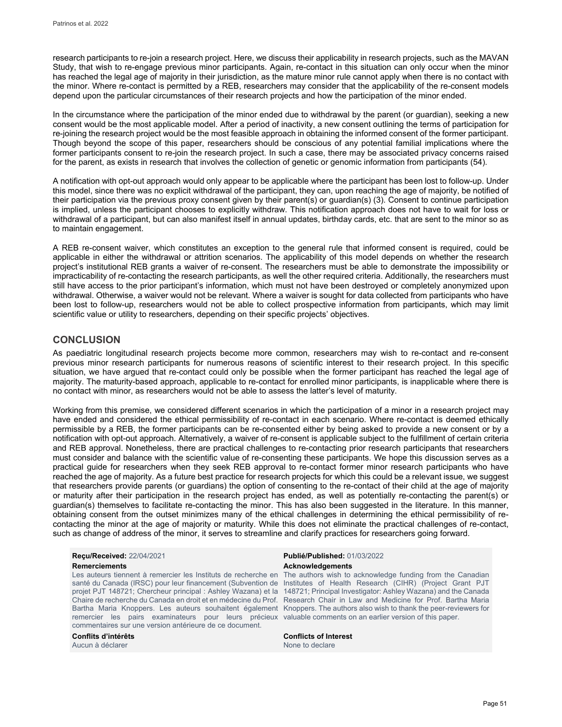research participants to re-join a research project. Here, we discuss their applicability in research projects, such as the MAVAN Study, that wish to re-engage previous minor participants. Again, re-contact in this situation can only occur when the minor has reached the legal age of majority in their jurisdiction, as the mature minor rule cannot apply when there is no contact with the minor. Where re-contact is permitted by a REB, researchers may consider that the applicability of the re-consent models depend upon the particular circumstances of their research projects and how the participation of the minor ended.

In the circumstance where the participation of the minor ended due to withdrawal by the parent (or guardian), seeking a new consent would be the most applicable model. After a period of inactivity, a new consent outlining the terms of participation for re-joining the research project would be the most feasible approach in obtaining the informed consent of the former participant. Though beyond the scope of this paper, researchers should be conscious of any potential familial implications where the former participants consent to re-join the research project. In such a case, there may be associated privacy concerns raised for the parent, as exists in research that involves the collection of genetic or genomic information from participants (54).

A notification with opt-out approach would only appear to be applicable where the participant has been lost to follow-up. Under this model, since there was no explicit withdrawal of the participant, they can, upon reaching the age of majority, be notified of their participation via the previous proxy consent given by their parent(s) or guardian(s) (3). Consent to continue participation is implied, unless the participant chooses to explicitly withdraw. This notification approach does not have to wait for loss or withdrawal of a participant, but can also manifest itself in annual updates, birthday cards, etc. that are sent to the minor so as to maintain engagement.

A REB re-consent waiver, which constitutes an exception to the general rule that informed consent is required, could be applicable in either the withdrawal or attrition scenarios. The applicability of this model depends on whether the research project's institutional REB grants a waiver of re-consent. The researchers must be able to demonstrate the impossibility or impracticability of re-contacting the research participants, as well the other required criteria. Additionally, the researchers must still have access to the prior participant's information, which must not have been destroyed or completely anonymized upon withdrawal. Otherwise, a waiver would not be relevant. Where a waiver is sought for data collected from participants who have been lost to follow-up, researchers would not be able to collect prospective information from participants, which may limit scientific value or utility to researchers, depending on their specific projects' objectives.

# **CONCLUSION**

As paediatric longitudinal research projects become more common, researchers may wish to re-contact and re-consent previous minor research participants for numerous reasons of scientific interest to their research project. In this specific situation, we have argued that re-contact could only be possible when the former participant has reached the legal age of majority. The maturity-based approach, applicable to re-contact for enrolled minor participants, is inapplicable where there is no contact with minor, as researchers would not be able to assess the latter's level of maturity.

Working from this premise, we considered different scenarios in which the participation of a minor in a research project may have ended and considered the ethical permissibility of re-contact in each scenario. Where re-contact is deemed ethically permissible by a REB, the former participants can be re-consented either by being asked to provide a new consent or by a notification with opt-out approach. Alternatively, a waiver of re-consent is applicable subject to the fulfillment of certain criteria and REB approval. Nonetheless, there are practical challenges to re-contacting prior research participants that researchers must consider and balance with the scientific value of re-consenting these participants. We hope this discussion serves as a practical guide for researchers when they seek REB approval to re-contact former minor research participants who have reached the age of majority. As a future best practice for research projects for which this could be a relevant issue, we suggest that researchers provide parents (or guardians) the option of consenting to the re-contact of their child at the age of majority or maturity after their participation in the research project has ended, as well as potentially re-contacting the parent(s) or guardian(s) themselves to facilitate re-contacting the minor. This has also been suggested in the literature. In this manner, obtaining consent from the outset minimizes many of the ethical challenges in determining the ethical permissibility of recontacting the minor at the age of majority or maturity. While this does not eliminate the practical challenges of re-contact, such as change of address of the minor, it serves to streamline and clarify practices for researchers going forward.

# **Remerciements Acknowledgements** *Acknowledgements*

santé du Canada (IRSC) pour leur financement (Subvention de projet PJT 148721; Chercheur principal : Ashley Wazana) et la Chaire de recherche du Canada en droit et en médecine du Prof. remercier les pairs examinateurs pour leurs précieux valuable-comments-on-an-earlier-version-of-this-paper. commentaires sur une version antérieure de ce document.

Aucun à déclarer

# **Reçu/Received:** 22/04/2021 **Publié/Published:** 01/03/2022

Les auteurs tiennent à remercier les Instituts de recherche en The authors wish to acknowledge funding from the Canadian Bartha Maria Knoppers. Les auteurs souhaitent également Knoppers. The authors also wish to thank the peer-reviewers for Institutes of Health Research (CIHR) (Project Grant PJT 148721; Principal Investigator: Ashley Wazana) and the Canada Research Chair in Law and Medicine for Prof. Bartha Maria

**Conflits d'intérêts Conflicts of Interest**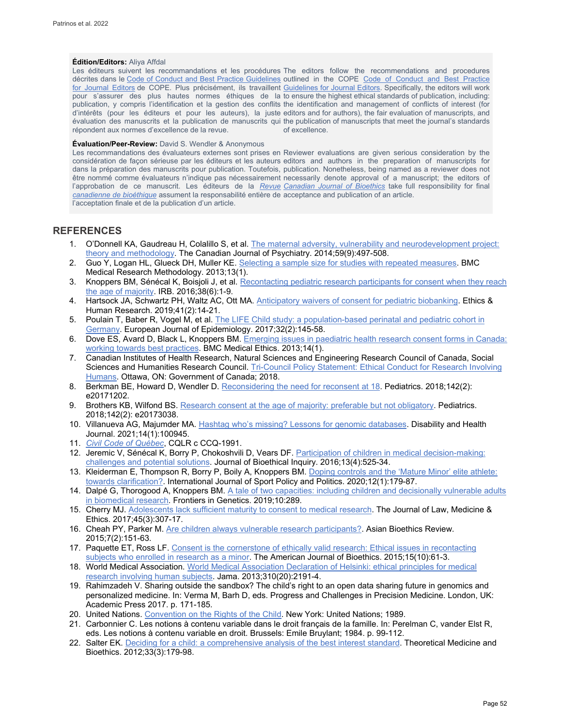#### **Édition/Editors:** Aliya Affdal

Les éditeurs suivent les recommandations et les procédures The editors follow the recommendations and procedures décrites dans le Code of Conduct [and Best Practice Guidelines](http://publicationethics.org/resources/code-conduct) outlined in the COPE Code of Conduct and Best Practice <u>[for Journal Editors](http://publicationethics.org/resources/code-conduct)</u> de COPE. Plus précisément, ils travaillent <u>Guidelines for Journal Editors</u>. Specifically, the editors will work pour s'assurer des plus hautes normes éthiques de la to ensure the highest ethical standards of publication, including: publication, y compris l'identification et la gestion des conflits the identification and management of conflicts of interest (for d'intérêts (pour les éditeurs et pour les auteurs), la juste editors and for authors), the fair evaluation of manuscripts, and évaluation des manuscrits et la publication de manuscrits qui the publication of manuscripts that meet the journal's standards répondent aux normes d'excellence de la revue. of excellence.

#### **Évaluation/Peer-Review:** David S. Wendler & Anonymous

Les recommandations des évaluateurs externes sont prises en Reviewer evaluations are given serious consideration by the considération de façon sérieuse par les éditeurs et les auteurs editors and authors in the preparation of manuscripts for dans la préparation des manuscrits pour publication. Toutefois, publication. Nonetheless, being named as a reviewer does not être nommé comme évaluateurs n'indique pas nécessairement necessarily denote approval of a manuscript; the editors of l'approbation de ce manuscrit. Les éditeurs de la <u>*Revue* [Canadian Journal of Bioethics](http://cjb-rcb.ca/)</u> take full responsibility for final *[canadienne de bioéthique](http://cjb-rcb.ca/)* assument la responsabilité entière de acceptance and publication of an article. l'acceptation finale et de la publication d'un article.

## **REFERENCES**

- 1. O'Donnell KA, Gaudreau H, Colalillo S, et al[. The maternal adversity, vulnerability and neurodevelopment project:](https://www.ncbi.nlm.nih.gov/pmc/articles/PMC4168812/)  [theory and methodology.](https://www.ncbi.nlm.nih.gov/pmc/articles/PMC4168812/) The Canadian Journal of Psychiatry. 2014;59(9):497-508.
- 2. Guo Y, Logan HL, Glueck DH, Muller KE[. Selecting a sample size for studies with repeated measures.](https://bmcmedresmethodol.biomedcentral.com/articles/10.1186/1471-2288-13-100?optIn=false) BMC Medical Research Methodology. 2013;13(1).
- 3. Knoppers BM, Sénécal K, Boisjoli J, et al. Recontacting pediatric research participants for consent when they reach [the age of majority.](https://irbmember.web.unc.edu/wp-content/uploads/sites/7878/2014/09/Nov-Dec-2016-Volume-38-Number-6.pdf) IRB. 2016;38(6):1-9.
- 4. Hartsock JA, Schwartz PH, Waltz AC, Ott MA[. Anticipatory waivers of consent for pediatric biobanking.](https://pubmed.ncbi.nlm.nih.gov/30895753/) Ethics & Human Research. 2019;41(2):14-21.
- 5. Poulain T, Baber R, Vogel M, et al[. The LIFE Child study: a population-based perinatal and pediatric cohort in](https://pubmed.ncbi.nlm.nih.gov/28144813/)  [Germany.](https://pubmed.ncbi.nlm.nih.gov/28144813/) European Journal of Epidemiology. 2017;32(2):145-58.
- 6. Dove ES, Avard D, Black L, Knoppers BM. Emerging issues in paediatric health research consent forms in Canada: [working towards best practices.](https://link.springer.com/article/10.1186/1472-6939-14-5) BMC Medical Ethics. 2013;14(1).
- 7. Canadian Institutes of Health Research, Natural Sciences and Engineering Research Council of Canada, Social Sciences and Humanities Research Council. Tri-Council Policy Statement: Ethical Conduct for Research Involving [Humans.](https://ethics.gc.ca/eng/documents/tcps2-2018-en-interactive-final.pdf) Ottawa, ON: Government of Canada; 2018.
- 8. Berkman BE, Howard D, Wendler D. [Reconsidering the need for reconsent at 18.](https://publications.aap.org/pediatrics/article/142/2/e20171202/37536/Reconsidering-the-Need-for-Reconsent-at-18) Pediatrics. 2018;142(2): e20171202.
- 9. Brothers KB, Wilfond BS[. Research consent at the age of majority: preferable but not obligatory.](https://pediatrics.aappublications.org/content/pediatrics/142/2/e20173038.full.pdf) Pediatrics. 2018;142(2): e20173038.
- 10. Villanueva AG, Majumder MA[. Hashtag who's missing? Lessons for genomic databases.](https://pubmed.ncbi.nlm.nih.gov/32788131/) Disability and Health Journal. 2021;14(1):100945.
- 11. *[Civil Code of Québec](http://legisquebec.gouv.qc.ca/en/showdoc/cs/ccq-1991)*, CQLR c CCQ-1991.
- 12. Jeremic V, Sénécal K, Borry P, Chokoshvili D, Vears DF[. Participation of children in medical decision-making:](https://psycnet.apa.org/record/2017-03987-002)  [challenges and potential solutions.](https://psycnet.apa.org/record/2017-03987-002) Journal of Bioethical Inquiry. 2016;13(4):525-34.
- 13. Kleiderman E, Thompson R, Borry P, Boily A, Knoppers BM[. Doping controls and the 'Mature Minor' elite athlete:](https://www.tandfonline.com/doi/full/10.1080/19406940.2019.1680416)  [towards clarification?.](https://www.tandfonline.com/doi/full/10.1080/19406940.2019.1680416) International Journal of Sport Policy and Politics. 2020;12(1):179-87.
- 14. Dalpé G, Thorogood A, Knoppers BM. A tale of two capacities: including children and decisionally vulnerable adults [in biomedical research.](https://www.frontiersin.org/articles/10.3389/fgene.2019.00289/full) Frontiers in Genetics. 2019;10:289.
- 15. Cherry MJ. [Adolescents lack sufficient maturity to consent to medical research.](https://journals.sagepub.com/doi/full/10.1177/1073110517737528) The Journal of Law, Medicine & Ethics. 2017;45(3):307-17.
- 16. Cheah PY, Parker M. [Are children always vulnerable research participants?.](https://www.google.com/search?client=safari&rls=en&q=Are+children+always+vulnerable+research+participants%3F&ie=UTF-8&oe=UTF-8) Asian Bioethics Review. 2015;7(2):151-63.
- 17. Paquette ET, Ross LF. [Consent is the cornerstone of ethically valid research: Ethical issues in recontacting](https://www.tandfonline.com/doi/full/10.1080/15265161.2015.1075800)  [subjects who enrolled in research as a minor.](https://www.tandfonline.com/doi/full/10.1080/15265161.2015.1075800) The American Journal of Bioethics. 2015;15(10):61-3.
- 18. World Medical Association. [World Medical Association Declaration of Helsinki: ethical principles for medical](https://jamanetwork.com/journals/jama/article-abstract/1760318)  [research involving human subjects.](https://jamanetwork.com/journals/jama/article-abstract/1760318) Jama. 2013;310(20):2191-4.
- 19. Rahimzadeh V. Sharing outside the sandbox? The child's right to an open data sharing future in genomics and personalized medicine. In: Verma M, Barh D, eds. Progress and Challenges in Precision Medicine. London, UK: Academic Press 2017. p. 171-185.
- 20. United Nations[. Convention on the Rights of the Child.](https://www.ohchr.org/en/professionalinterest/pages/crc.aspx) New York: United Nations; 1989.
- 21. Carbonnier C. Les notions à contenu variable dans le droit français de la famille. In: Perelman C, vander Elst R, eds. Les notions à contenu variable en droit. Brussels: Emile Bruylant; 1984. p. 99-112.
- 22. Salter EK[. Deciding for a child: a comprehensive analysis of the best interest standard.](https://philpapers.org/rec/SALDFA) Theoretical Medicine and Bioethics. 2012;33(3):179-98.